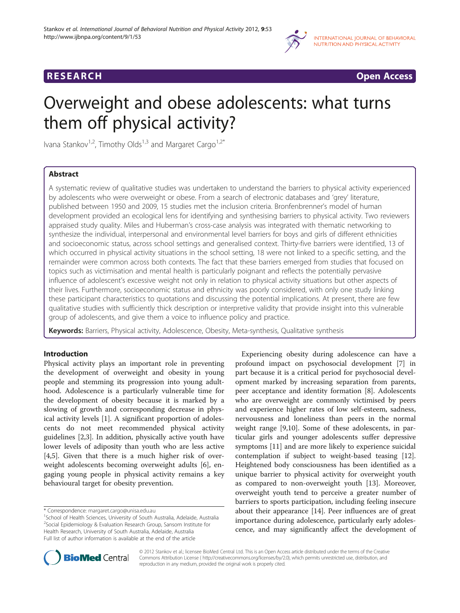



# Overweight and obese adolescents: what turns them off physical activity?

Ivana Stankov<sup>1,2</sup>, Timothy Olds<sup>1,3</sup> and Margaret Cargo<sup>1,2\*</sup>

# Abstract

A systematic review of qualitative studies was undertaken to understand the barriers to physical activity experienced by adolescents who were overweight or obese. From a search of electronic databases and 'grey' literature, published between 1950 and 2009, 15 studies met the inclusion criteria. Bronfenbrenner's model of human development provided an ecological lens for identifying and synthesising barriers to physical activity. Two reviewers appraised study quality. Miles and Huberman's cross-case analysis was integrated with thematic networking to synthesize the individual, interpersonal and environmental level barriers for boys and girls of different ethnicities and socioeconomic status, across school settings and generalised context. Thirty-five barriers were identified, 13 of which occurred in physical activity situations in the school setting, 18 were not linked to a specific setting, and the remainder were common across both contexts. The fact that these barriers emerged from studies that focused on topics such as victimisation and mental health is particularly poignant and reflects the potentially pervasive influence of adolescent's excessive weight not only in relation to physical activity situations but other aspects of their lives. Furthermore, socioeconomic status and ethnicity was poorly considered, with only one study linking these participant characteristics to quotations and discussing the potential implications. At present, there are few qualitative studies with sufficiently thick description or interpretive validity that provide insight into this vulnerable group of adolescents, and give them a voice to influence policy and practice.

Keywords: Barriers, Physical activity, Adolescence, Obesity, Meta-synthesis, Qualitative synthesis

# Introduction

Physical activity plays an important role in preventing the development of overweight and obesity in young people and stemming its progression into young adulthood. Adolescence is a particularly vulnerable time for the development of obesity because it is marked by a slowing of growth and corresponding decrease in physical activity levels [[1](#page-13-0)]. A significant proportion of adolescents do not meet recommended physical activity guidelines [\[2,3\]](#page-13-0). In addition, physically active youth have lower levels of adiposity than youth who are less active [[4,5\]](#page-13-0). Given that there is a much higher risk of overweight adolescents becoming overweight adults [[6\]](#page-13-0), engaging young people in physical activity remains a key behavioural target for obesity prevention.

Experiencing obesity during adolescence can have a profound impact on psychosocial development [[7\]](#page-13-0) in part because it is a critical period for psychosocial development marked by increasing separation from parents, peer acceptance and identity formation [\[8](#page-13-0)]. Adolescents who are overweight are commonly victimised by peers and experience higher rates of low self-esteem, sadness, nervousness and loneliness than peers in the normal weight range [[9,10\]](#page-13-0). Some of these adolescents, in particular girls and younger adolescents suffer depressive symptoms [\[11](#page-13-0)] and are more likely to experience suicidal contemplation if subject to weight-based teasing [[12](#page-13-0)]. Heightened body consciousness has been identified as a unique barrier to physical activity for overweight youth as compared to non-overweight youth [\[13](#page-13-0)]. Moreover, overweight youth tend to perceive a greater number of barriers to sports participation, including feeling insecure about their appearance [\[14](#page-13-0)]. Peer influences are of great importance during adolescence, particularly early adolescence, and may significantly affect the development of



© 2012 Stankov et al.; licensee BioMed Central Ltd. This is an Open Access article distributed under the terms of the Creative Commons Attribution License ( http://creativecommons.org/licenses/by/2.0), which permits unrestricted use, distribution, and reproduction in any medium, provided the original work is properly cited.

<sup>\*</sup> Correspondence: [margaret.cargo@unisa.edu.au](mailto:margaret.cargo@unisa.edu.au) <sup>1</sup>

<sup>&</sup>lt;sup>1</sup>School of Health Sciences, University of South Australia, Adelaide, Australia <sup>2</sup>Social Epidemiology & Evaluation Research Group, Sansom Institute for Health Research, University of South Australia, Adelaide, Australia Full list of author information is available at the end of the article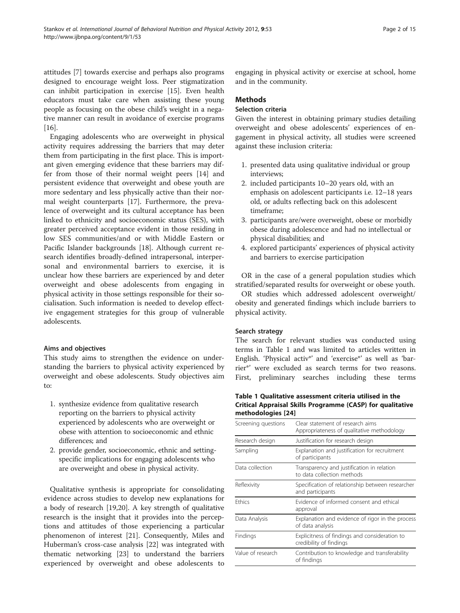attitudes [[7\]](#page-13-0) towards exercise and perhaps also programs designed to encourage weight loss. Peer stigmatization can inhibit participation in exercise [[15\]](#page-13-0). Even health educators must take care when assisting these young people as focusing on the obese child's weight in a negative manner can result in avoidance of exercise programs [[16\]](#page-13-0).

Engaging adolescents who are overweight in physical activity requires addressing the barriers that may deter them from participating in the first place. This is important given emerging evidence that these barriers may differ from those of their normal weight peers [[14](#page-13-0)] and persistent evidence that overweight and obese youth are more sedentary and less physically active than their normal weight counterparts [\[17\]](#page-14-0). Furthermore, the prevalence of overweight and its cultural acceptance has been linked to ethnicity and socioeconomic status (SES), with greater perceived acceptance evident in those residing in low SES communities/and or with Middle Eastern or Pacific Islander backgrounds [\[18\]](#page-14-0). Although current research identifies broadly-defined intrapersonal, interpersonal and environmental barriers to exercise, it is unclear how these barriers are experienced by and deter overweight and obese adolescents from engaging in physical activity in those settings responsible for their socialisation. Such information is needed to develop effective engagement strategies for this group of vulnerable adolescents.

# Aims and objectives

This study aims to strengthen the evidence on understanding the barriers to physical activity experienced by overweight and obese adolescents. Study objectives aim to:

- 1. synthesize evidence from qualitative research reporting on the barriers to physical activity experienced by adolescents who are overweight or obese with attention to socioeconomic and ethnic differences; and
- 2. provide gender, socioeconomic, ethnic and settingspecific implications for engaging adolescents who are overweight and obese in physical activity.

Qualitative synthesis is appropriate for consolidating evidence across studies to develop new explanations for a body of research [[19,20](#page-14-0)]. A key strength of qualitative research is the insight that it provides into the perceptions and attitudes of those experiencing a particular phenomenon of interest [\[21\]](#page-14-0). Consequently, Miles and Huberman's cross-case analysis [[22](#page-14-0)] was integrated with thematic networking [\[23\]](#page-14-0) to understand the barriers experienced by overweight and obese adolescents to engaging in physical activity or exercise at school, home and in the community.

# Methods

# Selection criteria

Given the interest in obtaining primary studies detailing overweight and obese adolescents' experiences of engagement in physical activity, all studies were screened against these inclusion criteria:

- 1. presented data using qualitative individual or group interviews;
- 2. included participants 10–20 years old, with an emphasis on adolescent participants i.e. 12–18 years old, or adults reflecting back on this adolescent timeframe;
- 3. participants are/were overweight, obese or morbidly obese during adolescence and had no intellectual or physical disabilities; and
- 4. explored participants' experiences of physical activity and barriers to exercise participation

OR in the case of a general population studies which stratified/separated results for overweight or obese youth.

OR studies which addressed adolescent overweight/ obesity and generated findings which include barriers to physical activity.

#### Search strategy

The search for relevant studies was conducted using terms in Table 1 and was limited to articles written in English. 'Physical activ\*' and 'exercise\*' as well as 'barrier\*' were excluded as search terms for two reasons. First, preliminary searches including these terms

Table 1 Qualitative assessment criteria utilised in the Critical Appraisal Skills Programme (CASP) for qualitative methodologies [\[24](#page-14-0)]

| Screening questions | Clear statement of research aims<br>Appropriateness of qualitative methodology |  |  |
|---------------------|--------------------------------------------------------------------------------|--|--|
| Research design     | Justification for research design                                              |  |  |
| Sampling            | Explanation and justification for recruitment<br>of participants               |  |  |
| Data collection     | Transparency and justification in relation<br>to data collection methods       |  |  |
| Reflexivity         | Specification of relationship between researcher<br>and participants           |  |  |
| <b>Fthics</b>       | Evidence of informed consent and ethical<br>approval                           |  |  |
| Data Analysis       | Explanation and evidence of rigor in the process<br>of data analysis           |  |  |
| Findings            | Explicitness of findings and consideration to<br>credibility of findings       |  |  |
| Value of research   | Contribution to knowledge and transferability<br>of findings                   |  |  |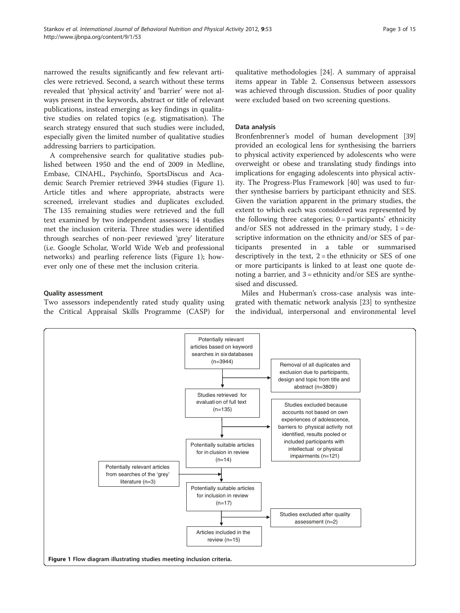narrowed the results significantly and few relevant articles were retrieved. Second, a search without these terms revealed that 'physical activity' and 'barrier' were not always present in the keywords, abstract or title of relevant publications, instead emerging as key findings in qualitative studies on related topics (e.g. stigmatisation). The search strategy ensured that such studies were included, especially given the limited number of qualitative studies addressing barriers to participation.

A comprehensive search for qualitative studies published between 1950 and the end of 2009 in Medline, Embase, CINAHL, Psychinfo, SportsDiscus and Academic Search Premier retrieved 3944 studies (Figure 1). Article titles and where appropriate, abstracts were screened, irrelevant studies and duplicates excluded. The 135 remaining studies were retrieved and the full text examined by two independent assessors; 14 studies met the inclusion criteria. Three studies were identified through searches of non-peer reviewed 'grey' literature (i.e. Google Scholar, World Wide Web and professional networks) and pearling reference lists (Figure 1); however only one of these met the inclusion criteria.

#### Quality assessment

Two assessors independently rated study quality using the Critical Appraisal Skills Programme (CASP) for qualitative methodologies [[24](#page-14-0)]. A summary of appraisal items appear in Table [2](#page-3-0). Consensus between assessors was achieved through discussion. Studies of poor quality were excluded based on two screening questions.

#### Data analysis

Bronfenbrenner's model of human development [[39](#page-14-0)] provided an ecological lens for synthesising the barriers to physical activity experienced by adolescents who were overweight or obese and translating study findings into implications for engaging adolescents into physical activity. The Progress-Plus Framework [\[40\]](#page-14-0) was used to further synthesise barriers by participant ethnicity and SES. Given the variation apparent in the primary studies, the extent to which each was considered was represented by the following three categories;  $0 =$  participants' ethnicity and/or SES not addressed in the primary study,  $1 = de$ scriptive information on the ethnicity and/or SES of participants presented in a table or summarised descriptively in the text,  $2 =$  the ethnicity or SES of one or more participants is linked to at least one quote denoting a barrier, and  $3 =$  ethnicity and/or SES are synthesised and discussed.

Miles and Huberman's cross-case analysis was integrated with thematic network analysis [[23\]](#page-14-0) to synthesize the individual, interpersonal and environmental level

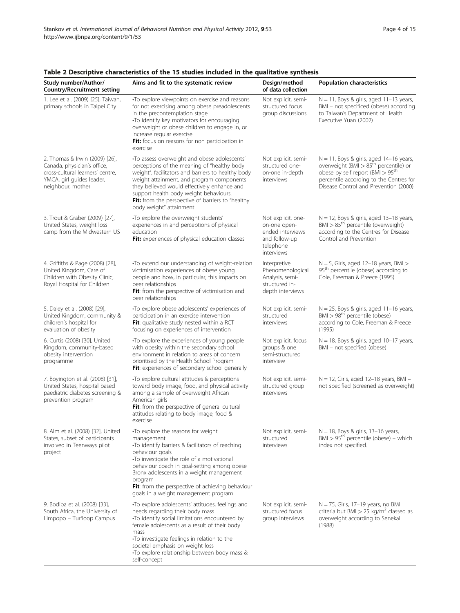| = <i>.</i>                                                                                                                                          |                                                                                                                                                                                                                                                                                                                                                                         |                                                                                                    |                                                                                                                                                                                                                                     |
|-----------------------------------------------------------------------------------------------------------------------------------------------------|-------------------------------------------------------------------------------------------------------------------------------------------------------------------------------------------------------------------------------------------------------------------------------------------------------------------------------------------------------------------------|----------------------------------------------------------------------------------------------------|-------------------------------------------------------------------------------------------------------------------------------------------------------------------------------------------------------------------------------------|
| Study number/Author/<br><b>Country/Recruitment setting</b>                                                                                          | Aims and fit to the systematic review                                                                                                                                                                                                                                                                                                                                   | Design/method<br>of data collection                                                                | <b>Population characteristics</b>                                                                                                                                                                                                   |
| 1. Lee et al. (2009) [25], Taiwan,<br>primary schools in Taipei City                                                                                | •To explore viewpoints on exercise and reasons<br>for not exercising among obese preadolescents<br>in the precontemplation stage<br>•To identify key motivators for encouraging<br>overweight or obese children to engage in, or<br>increase regular exercise<br>Fit: focus on reasons for non participation in<br>exercise                                             | Not explicit, semi-<br>structured focus<br>group discussions                                       | $N = 11$ , Boys & girls, aged $11-13$ years,<br>BMI - not specificed (obese) according<br>to Taiwan's Department of Health<br>Executive Yuan (2002)                                                                                 |
| 2. Thomas & Irwin (2009) [26],<br>Canada, physician's office,<br>cross-cultural learners' centre.<br>YMCA, girl guides leader,<br>neighbour, mother | •To assess overweight and obese adolescents'<br>perceptions of the meaning of "healthy body<br>weight", facilitators and barriers to healthy body<br>weight attainment, and program components<br>they believed would effectively enhance and<br>support health body weight behaviours.<br>Fit: from the perspective of barriers to "healthy<br>body weight" attainment | Not explicit, semi-<br>structured one-<br>on-one in-depth<br>interviews                            | $N = 11$ , Boys & girls, aged 14-16 years,<br>overweight (BMI > 85 <sup>th</sup> percentile) or<br>obese by self report (BMI > 95 <sup>th</sup><br>percentile according to the Centres for<br>Disease Control and Prevention (2000) |
| 3. Trout & Graber (2009) [27],<br>United States, weight loss<br>camp from the Midwestern US                                                         | •To explore the overweight students'<br>experiences in and perceptions of physical<br>education<br>Fit: experiences of physical education classes                                                                                                                                                                                                                       | Not explicit, one-<br>on-one open-<br>ended interviews<br>and follow-up<br>telephone<br>interviews | $N = 12$ , Boys & girls, aged 13-18 years,<br>$BMI > 85th$ percentile (overweight)<br>according to the Centres for Disease<br>Control and Prevention                                                                                |
| 4. Griffiths & Page (2008) [28],<br>United Kingdom, Care of<br>Children with Obesity Clinic,<br>Royal Hospital for Children                         | •To extend our understanding of weight-relation<br>victimisation experiences of obese young<br>people and how, in particular, this impacts on<br>peer relationships<br>Fit: from the perspective of victimisation and<br>peer relationships                                                                                                                             | Interpretive<br>Phenomenological<br>Analysis, semi-<br>structured in-<br>depth interviews          | $N = 5$ , Girls, aged 12-18 years, BMI ><br>95 <sup>th</sup> percentile (obese) according to<br>Cole, Freeman & Preece (1995)                                                                                                       |
| 5. Daley et al. (2008) [29],<br>United Kingdom, community &<br>children's hospital for<br>evaluation of obesity                                     | •To explore obese adolescents' experiences of<br>participation in an exercise intervention<br><b>Fit:</b> qualitative study nested within a RCT<br>focusing on experiences of intervention                                                                                                                                                                              | Not explicit, semi-<br>structured<br>interviews                                                    | $N = 25$ , Boys & girls, aged 11-16 years,<br>$BMI > 98th$ percentile (obese)<br>according to Cole, Freeman & Preece<br>(1995)                                                                                                      |
| 6. Curtis (2008) [30], United<br>Kingdom, community-based<br>obesity intervention<br>programme                                                      | •To explore the experiences of young people<br>with obesity within the secondary school<br>environment in relation to areas of concern<br>prioritised by the Health School Program<br>Fit: experiences of secondary school generally                                                                                                                                    | Not explicit, focus<br>groups & one<br>semi-structured<br>interview                                | $N = 18$ , Boys & girls, aged $10-17$ years,<br>BMI - not specified (obese)                                                                                                                                                         |
| 7. Boyington et al. (2008) [31],<br>United States, hospital based<br>paediatric diabetes screening &<br>prevention program                          | •To explore cultural attitudes & perceptions<br>toward body image, food, and physical activity<br>among a sample of overweight African<br>American girls<br>Fit: from the perspective of general cultural<br>attitudes relating to body image, food &<br>exercise                                                                                                       | Not explicit, semi-<br>structured group<br>interviews                                              | $N = 12$ , Girls, aged 12-18 years, BMI -<br>not specified (screened as overweight)                                                                                                                                                 |
| 8. Alm et al. (2008) [32], United<br>States, subset of participants<br>involved in Teenways pilot<br>project                                        | •To explore the reasons for weight<br>management<br>•To identify barriers & facilitators of reaching<br>behaviour goals<br>•To investigate the role of a motivational<br>behaviour coach in goal-setting among obese<br>Bronx adolescents in a weight management<br>program<br>Fit: from the perspective of achieving behaviour<br>goals in a weight management program | Not explicit, semi-<br>structured<br>interviews                                                    | $N = 18$ , Boys & girls, 13-16 years,<br>$BM > 95th$ percentile (obese) – which<br>index not specified.                                                                                                                             |
| 9. Bodiba et al. (2008) [33],<br>South Africa, the University of<br>Limpopo - Turfloop Campus                                                       | •To explore adolescents' attitudes, feelings and<br>needs regarding their body mass<br>•To identify social limitations encountered by<br>female adolescents as a result of their body<br>mass<br>•To investigate feelings in relation to the<br>societal emphasis on weight loss<br>To explore relationship between body mass &<br>self-concept                         | Not explicit, semi-<br>structured focus<br>group interviews                                        | $N = 75$ , Girls, 17-19 years, no BMI<br>criteria but BMI > 25 kg/m <sup>2</sup> classed as<br>overweight according to Senekal<br>(1988)                                                                                            |

# <span id="page-3-0"></span>Table 2 Descriptive characteristics of the 15 studies included in the qualitative synthesis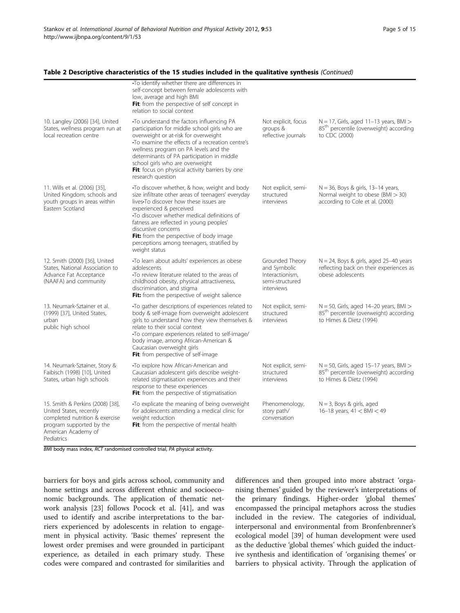#### Table 2 Descriptive characteristics of the 15 studies included in the qualitative synthesis (Continued)

|                                                                                                                                                                | . To identify whether there are differences in<br>self-concept between female adolescents with<br>low, average and high BMI<br>Fit: from the perspective of self concept in<br>relation to social context                                                                                                                                                                                           |                                                                                     |                                                                                                                            |
|----------------------------------------------------------------------------------------------------------------------------------------------------------------|-----------------------------------------------------------------------------------------------------------------------------------------------------------------------------------------------------------------------------------------------------------------------------------------------------------------------------------------------------------------------------------------------------|-------------------------------------------------------------------------------------|----------------------------------------------------------------------------------------------------------------------------|
| 10. Langley (2006) [34], United<br>States, wellness program run at<br>local recreation centre                                                                  | •To understand the factors influencing PA<br>participation for middle school girls who are<br>overweight or at-risk for overweight<br>•To examine the effects of a recreation centre's<br>wellness program on PA levels and the<br>determinants of PA participation in middle<br>school girls who are overweight<br>Fit: focus on physical activity barriers by one<br>research question            | Not explicit, focus<br>groups &<br>reflective journals                              | $N = 17$ , Girls, aged 11-13 years, BMI ><br>85 <sup>th</sup> percentile (overweight) according<br>to CDC (2000)           |
| 11. Wills et al. (2006) [35],<br>United Kingdom, schools and<br>youth groups in areas within<br>Eastern Scotland                                               | •To discover whether, & how, weight and body<br>size infiltrate other areas of teenagers' everyday<br>lives. To discover how these issues are<br>experienced & perceived<br>•To discover whether medical definitions of<br>fatness are reflected in young peoples'<br>discursive concerns<br>Fit: from the perspective of body image<br>perceptions among teenagers, stratified by<br>weight status | Not explicit, semi-<br>structured<br>interviews                                     | $N = 36$ , Boys & girls, 13-14 years,<br>Normal weight to obese (BMI > 30)<br>according to Cole et al. (2000)              |
| 12. Smith (2000) [36], United<br>States, National Association to<br>Advance Fat Acceptance<br>(NAAFA) and community                                            | •To learn about adults' experiences as obese<br>adolescents<br>•To review literature related to the areas of<br>childhood obesity, physical attractiveness,<br>discrimination, and stigma<br>Fit: from the perspective of weight salience                                                                                                                                                           | Grounded Theory<br>and Symbolic<br>Interactionism,<br>semi-structured<br>interviews | $N = 24$ , Boys & girls, aged 25-40 years<br>reflecting back on their experiences as<br>obese adolescents                  |
| 13. Neumark-Sztainer et al.<br>(1999) [37], United States,<br>urban<br>public high school                                                                      | To gather descriptions of experiences related to<br>body & self-image from overweight adolescent<br>girls to understand how they view themselves &<br>relate to their social context<br>•To compare experiences related to self-image/<br>body image, among African-American &<br>Caucasian overweight girls<br>Fit: from perspective of self-image                                                 | Not explicit, semi-<br>structured<br>interviews                                     | $N = 50$ , Girls, aged 14-20 years, BMI ><br>85 <sup>th</sup> percentile (overweight) according<br>to Himes & Dietz (1994) |
| 14. Neumark-Sztainer, Story &<br>Faibisch (1998) [10], United<br>States, urban high schools                                                                    | •To explore how African-American and<br>Caucasian adolescent girls describe weight-<br>related stigmatisation experiences and their<br>response to these experiences<br>Fit: from the perspective of stigmatisation                                                                                                                                                                                 | Not explicit, semi-<br>structured<br>interviews                                     | $N = 50$ , Girls, aged 15-17 years, BMI ><br>85 <sup>th</sup> percentile (overweight) according<br>to Himes & Dietz (1994) |
| 15. Smith & Perkins (2008) [38],<br>United States, recently<br>completed nutrition & exercise<br>program supported by the<br>American Academy of<br>Pediatrics | •To explicate the meaning of being overweight<br>for adolescents attending a medical clinic for<br>weight reduction<br>Fit: from the perspective of mental health                                                                                                                                                                                                                                   | Phenomenology,<br>story path/<br>conversation                                       | $N = 3$ , Boys & girls, aged<br>16-18 years, $41 <$ BMI $<$ 49                                                             |

BMI body mass index, RCT randomised controlled trial, PA physical activity.

barriers for boys and girls across school, community and home settings and across different ethnic and socioeconomic backgrounds. The application of thematic network analysis [\[23\]](#page-14-0) follows Pocock et al. [[41\]](#page-14-0), and was used to identify and ascribe interpretations to the barriers experienced by adolescents in relation to engagement in physical activity. 'Basic themes' represent the lowest order premises and were grounded in participant experience, as detailed in each primary study. These codes were compared and contrasted for similarities and differences and then grouped into more abstract 'organising themes' guided by the reviewer's interpretations of the primary findings. Higher-order 'global themes' encompassed the principal metaphors across the studies included in the review. The categories of individual, interpersonal and environmental from Bronfenbrenner's ecological model [[39](#page-14-0)] of human development were used as the deductive 'global themes' which guided the inductive synthesis and identification of 'organising themes' or barriers to physical activity. Through the application of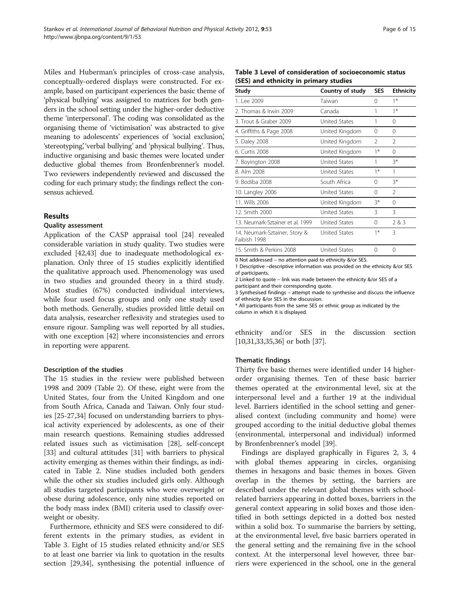Miles and Huberman's principles of cross-case analysis, conceptually-ordered displays were constructed. For example, based on participant experiences the basic theme of 'physical bullying' was assigned to matrices for both genders in the school setting under the higher-order deductive theme 'interpersonal'. The coding was consolidated as the organising theme of 'victimisation' was abstracted to give meaning to adolescents' experiences of 'social exclusion', 'stereotyping', 'verbal bullying' and 'physical bullying'. Thus, inductive organising and basic themes were located under deductive global themes from Bronfenbrenner's model. Two reviewers independently reviewed and discussed the coding for each primary study; the findings reflect the consensus achieved.

#### Results

#### Quality assessment

Application of the CASP appraisal tool [\[24](#page-14-0)] revealed considerable variation in study quality. Two studies were excluded [\[42,43](#page-14-0)] due to inadequate methodological explanation. Only three of 15 studies explicitly identified the qualitative approach used. Phenomenology was used in two studies and grounded theory in a third study. Most studies (67%) conducted individual interviews, while four used focus groups and only one study used both methods. Generally, studies provided little detail on data analysis, researcher reflexivity and strategies used to ensure rigour. Sampling was well reported by all studies, with one exception [[42\]](#page-14-0) where inconsistencies and errors in reporting were apparent.

#### Description of the studies

The 15 studies in the review were published between 1998 and 2009 (Table [2](#page-3-0)). Of these, eight were from the United States, four from the United Kingdom and one from South Africa, Canada and Taiwan. Only four studies [\[25](#page-14-0)-[27,34](#page-14-0)] focused on understanding barriers to physical activity experienced by adolescents, as one of their main research questions. Remaining studies addressed related issues such as victimisation [\[28](#page-14-0)], self-concept [[33\]](#page-14-0) and cultural attitudes [[31](#page-14-0)] with barriers to physical activity emerging as themes within their findings, as indicated in Table [2.](#page-3-0) Nine studies included both genders while the other six studies included girls only. Although all studies targeted participants who were overweight or obese during adolescence, only nine studies reported on the body mass index (BMI) criteria used to classify overweight or obesity.

Furthermore, ethnicity and SES were considered to different extents in the primary studies, as evident in Table 3. Eight of 15 studies related ethnicity and/or SES to at least one barrier via link to quotation in the results section [\[29,34\]](#page-14-0), synthesising the potential influence of

Table 3 Level of consideration of socioeconomic status (SES) and ethnicity in primary studies

| Study                                         | Country of study     | <b>SES</b> | <b>Ethnicity</b> |
|-----------------------------------------------|----------------------|------------|------------------|
| 1. Lee 2009                                   | Taiwan               | $\Omega$   | $1*$             |
| 2. Thomas & Irwin 2009                        | Canada               | 1          | $1*$             |
| 3. Trout & Graber 2009                        | United States        | 1          | 0                |
| 4. Griffiths & Page 2008                      | United Kingdom       | $\Omega$   | 0                |
| 5. Daley 2008                                 | United Kingdom       | 2          | 2                |
| 6. Curtis 2008                                | United Kingdom       | $1*$       | $\Omega$         |
| 7. Boyington 2008                             | <b>United States</b> | 1          | $3*$             |
| 8. Alm 2008                                   | <b>United States</b> | $1*$       | 1                |
| 9. Bodiba 2008                                | South Africa         | $\Omega$   | $3*$             |
| 10. Langley 2006                              | <b>United States</b> | $\Omega$   | $\mathfrak{D}$   |
| 11. Wills 2006                                | United Kingdom       | 3*         | $\Omega$         |
| 12. Smith 2000                                | United States        | 3          | ξ                |
| 13. Neumark-Sztainer et al. 1999              | United States        | $\Omega$   | 2 & 3            |
| 14. Neumark-Sztainer, Story &<br>Faibish 1998 | United States        | $1*$       | 3                |
| 15. Smith & Perkins 2008                      | <b>United States</b> | 0          | 0                |
|                                               |                      |            |                  |

0 Not addressed – no attention paid to ethnicity &/or SES.

1 Descriptive –descriptive information was provided on the ethnicity &/or SES of participants.

2 Linked to quote – link was made between the ethnicity &/or SES of a

participant and their corresponding quote.

3 Synthesised findings – attempt made to synthesise and discuss the influence of ethnicity &/or SES in the discussion.

\* All participants from the same SES or ethnic group as indicated by the column in which it is displayed.

ethnicity and/or SES in the discussion section [[10,](#page-13-0)[31,33](#page-14-0),[35,36](#page-14-0)] or both [[37](#page-14-0)].

#### Thematic findings

Thirty five basic themes were identified under 14 higherorder organising themes. Ten of these basic barrier themes operated at the environmental level, six at the interpersonal level and a further 19 at the individual level. Barriers identified in the school setting and generalised context (including community and home) were grouped according to the initial deductive global themes (environmental, interpersonal and individual) informed by Bronfenbrenner's model [\[39\]](#page-14-0).

Findings are displayed graphically in Figures [2](#page-6-0), [3](#page-6-0), [4](#page-7-0) with global themes appearing in circles, organising themes in hexagons and basic themes in boxes. Given overlap in the themes by setting, the barriers are described under the relevant global themes with schoolrelated barriers appearing in dotted boxes, barriers in the general context appearing in solid boxes and those identified in both settings depicted in a dotted box nested within a solid box. To summarise the barriers by setting, at the environmental level, five basic barriers operated in the general setting and the remaining five in the school context. At the interpersonal level however, three barriers were experienced in the school, one in the general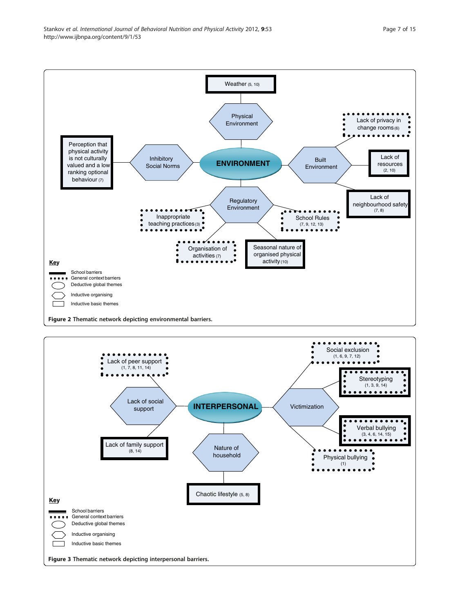<span id="page-6-0"></span>

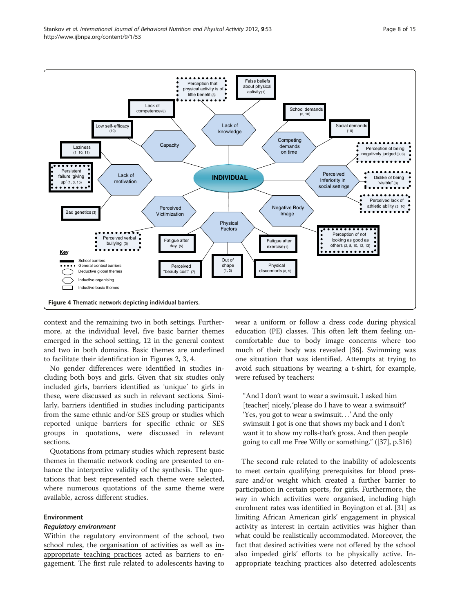<span id="page-7-0"></span>

context and the remaining two in both settings. Furthermore, at the individual level, five basic barrier themes emerged in the school setting, 12 in the general context and two in both domains. Basic themes are underlined to facilitate their identification in Figures [2](#page-6-0), [3](#page-6-0), 4.

No gender differences were identified in studies including both boys and girls. Given that six studies only included girls, barriers identified as 'unique' to girls in these, were discussed as such in relevant sections. Similarly, barriers identified in studies including participants from the same ethnic and/or SES group or studies which reported unique barriers for specific ethnic or SES groups in quotations, were discussed in relevant sections.

Quotations from primary studies which represent basic themes in thematic network coding are presented to enhance the interpretive validity of the synthesis. The quotations that best represented each theme were selected, where numerous quotations of the same theme were available, across different studies.

#### Environment

#### Regulatory environment

Within the regulatory environment of the school, two school rules, the organisation of activities as well as inappropriate teaching practices acted as barriers to engagement. The first rule related to adolescents having to

wear a uniform or follow a dress code during physical education (PE) classes. This often left them feeling uncomfortable due to body image concerns where too much of their body was revealed [\[36](#page-14-0)]. Swimming was one situation that was identified. Attempts at trying to avoid such situations by wearing a t-shirt, for example, were refused by teachers:

"And I don't want to wear a swimsuit. I asked him [teacher] nicely, 'please do I have to wear a swimsuit?' 'Yes, you got to wear a swimsuit...' And the only swimsuit I got is one that shows my back and I don't want it to show my rolls-that's gross. And then people going to call me Free Willy or something." ([[37](#page-14-0)], p.316)

The second rule related to the inability of adolescents to meet certain qualifying prerequisites for blood pressure and/or weight which created a further barrier to participation in certain sports, for girls. Furthermore, the way in which activities were organised, including high enrolment rates was identified in Boyington et al. [\[31\]](#page-14-0) as limiting African American girls' engagement in physical activity as interest in certain activities was higher than what could be realistically accommodated. Moreover, the fact that desired activities were not offered by the school also impeded girls' efforts to be physically active. Inappropriate teaching practices also deterred adolescents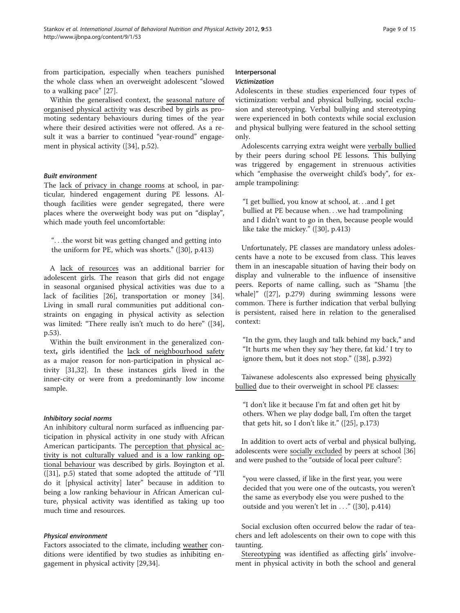from participation, especially when teachers punished the whole class when an overweight adolescent "slowed to a walking pace" [\[27](#page-14-0)].

Within the generalised context, the seasonal nature of organised physical activity was described by girls as promoting sedentary behaviours during times of the year where their desired activities were not offered. As a result it was a barrier to continued "year-round" engagement in physical activity ([\[34\]](#page-14-0), p.52).

#### Built environment

The lack of privacy in change rooms at school, in particular, hindered engagement during PE lessons. Although facilities were gender segregated, there were places where the overweight body was put on "display", which made youth feel uncomfortable:

"...the worst bit was getting changed and getting into the uniform for PE, which was shorts." ([[30\]](#page-14-0), p.413)

A lack of resources was an additional barrier for adolescent girls. The reason that girls did not engage in seasonal organised physical activities was due to a lack of facilities [[26\]](#page-14-0), transportation or money [\[34](#page-14-0)]. Living in small rural communities put additional constraints on engaging in physical activity as selection was limited: "There really isn't much to do here" ([[34](#page-14-0)], p.53).

Within the built environment in the generalized context, girls identified the lack of neighbourhood safety as a major reason for non-participation in physical activity [[31,32](#page-14-0)]. In these instances girls lived in the inner-city or were from a predominantly low income sample.

#### Inhibitory social norms

An inhibitory cultural norm surfaced as influencing participation in physical activity in one study with African American participants. The perception that physical activity is not culturally valued and is a low ranking optional behaviour was described by girls. Boyington et al. ([[31\]](#page-14-0), p.5) stated that some adopted the attitude of "I'll do it [physical activity] later" because in addition to being a low ranking behaviour in African American culture, physical activity was identified as taking up too much time and resources.

#### Physical environment

Factors associated to the climate, including weather conditions were identified by two studies as inhibiting engagement in physical activity [\[29,34\]](#page-14-0).

#### Interpersonal Victimization

Adolescents in these studies experienced four types of victimization: verbal and physical bullying, social exclusion and stereotyping. Verbal bullying and stereotyping were experienced in both contexts while social exclusion and physical bullying were featured in the school setting only.

Adolescents carrying extra weight were verbally bullied by their peers during school PE lessons. This bullying was triggered by engagement in strenuous activities which "emphasise the overweight child's body", for example trampolining:

"I get bullied, you know at school, at...and I get bullied at PE because when...we had trampolining and I didn't want to go in then, because people would like take the mickey." ([[30\]](#page-14-0), p.413)

Unfortunately, PE classes are mandatory unless adolescents have a note to be excused from class. This leaves them in an inescapable situation of having their body on display and vulnerable to the influence of insensitive peers. Reports of name calling, such as "Shamu [the whale]" ([[27\]](#page-14-0), p.279) during swimming lessons were common. There is further indication that verbal bullying is persistent, raised here in relation to the generalised context:

"In the gym, they laugh and talk behind my back," and "It hurts me when they say 'hey there, fat kid.' I try to ignore them, but it does not stop." ([[38](#page-14-0)], p.392)

Taiwanese adolescents also expressed being physically bullied due to their overweight in school PE classes:

"I don't like it because I'm fat and often get hit by others. When we play dodge ball, I'm often the target that gets hit, so I don't like it." ([\[25](#page-14-0)], p.173)

In addition to overt acts of verbal and physical bullying, adolescents were socially excluded by peers at school [[36](#page-14-0)] and were pushed to the "outside of local peer culture":

"you were classed, if like in the first year, you were decided that you were one of the outcasts, you weren't the same as everybody else you were pushed to the outside and you weren't let in ..." ([\[30\]](#page-14-0), p.414)

Social exclusion often occurred below the radar of teachers and left adolescents on their own to cope with this taunting.

Stereotyping was identified as affecting girls' involvement in physical activity in both the school and general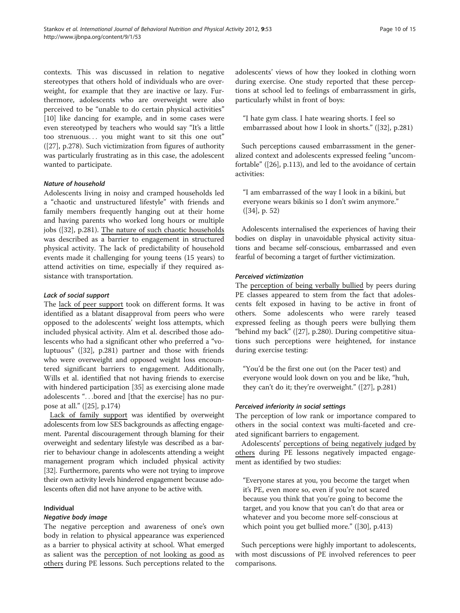contexts. This was discussed in relation to negative stereotypes that others hold of individuals who are overweight, for example that they are inactive or lazy. Furthermore, adolescents who are overweight were also perceived to be "unable to do certain physical activities" [[10\]](#page-13-0) like dancing for example, and in some cases were even stereotyped by teachers who would say "It's a little too strenuous... you might want to sit this one out" ([[27\]](#page-14-0), p.278). Such victimization from figures of authority was particularly frustrating as in this case, the adolescent wanted to participate.

## Nature of household

Adolescents living in noisy and cramped households led a "chaotic and unstructured lifestyle" with friends and family members frequently hanging out at their home and having parents who worked long hours or multiple jobs ([\[32](#page-14-0)], p.281). The nature of such chaotic households was described as a barrier to engagement in structured physical activity. The lack of predictability of household events made it challenging for young teens (15 years) to attend activities on time, especially if they required assistance with transportation.

# Lack of social support

The lack of peer support took on different forms. It was identified as a blatant disapproval from peers who were opposed to the adolescents' weight loss attempts, which included physical activity. Alm et al. described those adolescents who had a significant other who preferred a "voluptuous" ([\[32](#page-14-0)], p.281) partner and those with friends who were overweight and opposed weight loss encountered significant barriers to engagement. Additionally, Wills et al. identified that not having friends to exercise with hindered participation [[35\]](#page-14-0) as exercising alone made adolescents "...bored and [that the exercise] has no purpose at all." ([[25\]](#page-14-0), p.174)

Lack of family support was identified by overweight adolescents from low SES backgrounds as affecting engagement. Parental discouragement through blaming for their overweight and sedentary lifestyle was described as a barrier to behaviour change in adolescents attending a weight management program which included physical activity [[32](#page-14-0)]. Furthermore, parents who were not trying to improve their own activity levels hindered engagement because adolescents often did not have anyone to be active with.

#### Individual

#### Negative body image

The negative perception and awareness of one's own body in relation to physical appearance was experienced as a barrier to physical activity at school. What emerged as salient was the perception of not looking as good as others during PE lessons. Such perceptions related to the adolescents' views of how they looked in clothing worn during exercise. One study reported that these perceptions at school led to feelings of embarrassment in girls, particularly whilst in front of boys:

"I hate gym class. I hate wearing shorts. I feel so embarrassed about how I look in shorts." ([[32\]](#page-14-0), p.281)

Such perceptions caused embarrassment in the generalized context and adolescents expressed feeling "uncomfortable" ([[26](#page-14-0)], p.113), and led to the avoidance of certain activities:

"I am embarrassed of the way I look in a bikini, but everyone wears bikinis so I don't swim anymore." ([[34\]](#page-14-0), p. 52)

Adolescents internalised the experiences of having their bodies on display in unavoidable physical activity situations and became self-conscious, embarrassed and even fearful of becoming a target of further victimization.

## Perceived victimization

The perception of being verbally bullied by peers during PE classes appeared to stem from the fact that adolescents felt exposed in having to be active in front of others. Some adolescents who were rarely teased expressed feeling as though peers were bullying them "behind my back" ([[27\]](#page-14-0), p.280). During competitive situations such perceptions were heightened, for instance during exercise testing:

"You'd be the first one out (on the Pacer test) and everyone would look down on you and be like, "huh, they can't do it; they're overweight." ([\[27](#page-14-0)], p.281)

#### Perceived inferiority in social settings

The perception of low rank or importance compared to others in the social context was multi-faceted and created significant barriers to engagement.

Adolescents' perceptions of being negatively judged by others during PE lessons negatively impacted engagement as identified by two studies:

"Everyone stares at you, you become the target when it's PE, even more so, even if you're not scared because you think that you're going to become the target, and you know that you can't do that area or whatever and you become more self-conscious at which point you get bullied more." ([[30](#page-14-0)], p.413)

Such perceptions were highly important to adolescents, with most discussions of PE involved references to peer comparisons.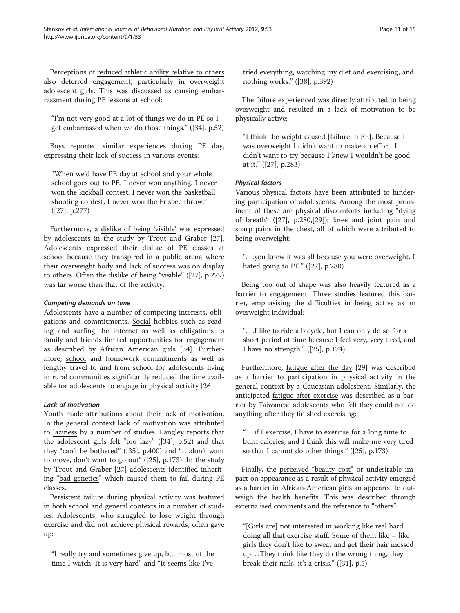Perceptions of reduced athletic ability relative to others also deterred engagement, particularly in overweight adolescent girls. This was discussed as causing embarrassment during PE lessons at school:

"I'm not very good at a lot of things we do in PE so I get embarrassed when we do those things." ([[34\]](#page-14-0), p.52)

Boys reported similar experiences during PE day, expressing their lack of success in various events:

"When we'd have PE day at school and your whole school goes out to PE, I never won anything. I never won the kickball contest. I never won the basketball shooting contest, I never won the Frisbee throw." ([[27\]](#page-14-0), p.277)

Furthermore, a dislike of being 'visible' was expressed by adolescents in the study by Trout and Graber [\[27](#page-14-0)]. Adolescents expressed their dislike of PE classes at school because they transpired in a public arena where their overweight body and lack of success was on display to others. Often the dislike of being "visible" ([\[27](#page-14-0)], p.279) was far worse than that of the activity.

## Competing demands on time

Adolescents have a number of competing interests, obligations and commitments. Social hobbies such as reading and surfing the internet as well as obligations to family and friends limited opportunities for engagement as described by African American girls [\[34\]](#page-14-0). Furthermore, school and homework commitments as well as lengthy travel to and from school for adolescents living in rural communities significantly reduced the time available for adolescents to engage in physical activity [\[26\]](#page-14-0).

# Lack of motivation

Youth made attributions about their lack of motivation. In the general context lack of motivation was attributed to laziness by a number of studies. Langley reports that the adolescent girls felt "too lazy" ([\[34\]](#page-14-0), p.52) and that they "can't be bothered" ([\[35\]](#page-14-0), p.400) and "...don't want to move, don't want to go out" ([[25](#page-14-0)], p.173). In the study by Trout and Graber [\[27](#page-14-0)] adolescents identified inheriting "bad genetics" which caused them to fail during PE classes.

Persistent failure during physical activity was featured in both school and general contexts in a number of studies. Adolescents, who struggled to lose weight through exercise and did not achieve physical rewards, often gave up:

"I really try and sometimes give up, but most of the time I watch. It is very hard" and "It seems like I've

tried everything, watching my diet and exercising, and nothing works." ([\[38](#page-14-0)], p.392)

The failure experienced was directly attributed to being overweight and resulted in a lack of motivation to be physically active:

"I think the weight caused [failure in PE]. Because I was overweight I didn't want to make an effort. I didn't want to try because I knew I wouldn't be good at it." ([[27\]](#page-14-0), p.283)

## Physical factors

Various physical factors have been attributed to hindering participation of adolescents. Among the most prominent of these are physical discomforts including "dying of breath" ([[27\]](#page-14-0), p.280,[[29](#page-14-0)]); knee and joint pain and sharp pains in the chest, all of which were attributed to being overweight:

"...you knew it was all because you were overweight. I hated going to PE." ([\[27](#page-14-0)], p.280)

Being too out of shape was also heavily featured as a barrier to engagement. Three studies featured this barrier, emphasising the difficulties in being active as an overweight individual:

"...I like to ride a bicycle, but I can only do so for a short period of time because I feel very, very tired, and I have no strength." ([[25\]](#page-14-0), p.174)

Furthermore, fatigue after the day [[29](#page-14-0)] was described as a barrier to participation in physical activity in the general context by a Caucasian adolescent. Similarly, the anticipated fatigue after exercise was described as a barrier by Taiwanese adolescents who felt they could not do anything after they finished exercising:

"...if I exercise, I have to exercise for a long time to burn calories, and I think this will make me very tired so that I cannot do other things." ([[25](#page-14-0)], p.173)

Finally, the perceived "beauty cost" or undesirable impact on appearance as a result of physical activity emerged as a barrier in African-American girls an appeared to outweigh the health benefits. This was described through externalised comments and the reference to "others":

"[Girls are] not interested in working like real hard doing all that exercise stuff. Some of them like – like girls they don't like to sweat and get their hair messed up...They think like they do the wrong thing, they break their nails, it's a crisis." ([\[31](#page-14-0)], p.5)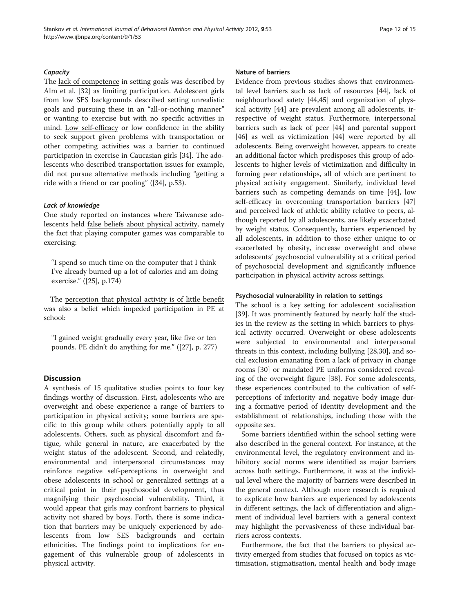#### **Capacity**

The lack of competence in setting goals was described by Alm et al. [\[32](#page-14-0)] as limiting participation. Adolescent girls from low SES backgrounds described setting unrealistic goals and pursuing these in an "all-or-nothing manner" or wanting to exercise but with no specific activities in mind. Low self-efficacy or low confidence in the ability to seek support given problems with transportation or other competing activities was a barrier to continued participation in exercise in Caucasian girls [\[34](#page-14-0)]. The adolescents who described transportation issues for example, did not pursue alternative methods including "getting a ride with a friend or car pooling" ([[34](#page-14-0)], p.53).

#### Lack of knowledge

One study reported on instances where Taiwanese adolescents held false beliefs about physical activity, namely the fact that playing computer games was comparable to exercising:

"I spend so much time on the computer that I think I've already burned up a lot of calories and am doing exercise." ([[25\]](#page-14-0), p.174)

The perception that physical activity is of little benefit was also a belief which impeded participation in PE at school:

"I gained weight gradually every year, like five or ten pounds. PE didn't do anything for me." ([\[27\]](#page-14-0), p. 277)

# **Discussion**

A synthesis of 15 qualitative studies points to four key findings worthy of discussion. First, adolescents who are overweight and obese experience a range of barriers to participation in physical activity; some barriers are specific to this group while others potentially apply to all adolescents. Others, such as physical discomfort and fatigue, while general in nature, are exacerbated by the weight status of the adolescent. Second, and relatedly, environmental and interpersonal circumstances may reinforce negative self-perceptions in overweight and obese adolescents in school or generalized settings at a critical point in their psychosocial development, thus magnifying their psychosocial vulnerability. Third, it would appear that girls may confront barriers to physical activity not shared by boys. Forth, there is some indication that barriers may be uniquely experienced by adolescents from low SES backgrounds and certain ethnicities. The findings point to implications for engagement of this vulnerable group of adolescents in physical activity.

#### Nature of barriers

Evidence from previous studies shows that environmental level barriers such as lack of resources [[44\]](#page-14-0), lack of neighbourhood safety [\[44,45\]](#page-14-0) and organization of physical activity [\[44\]](#page-14-0) are prevalent among all adolescents, irrespective of weight status. Furthermore, interpersonal barriers such as lack of peer [\[44](#page-14-0)] and parental support [[46\]](#page-14-0) as well as victimization [[44](#page-14-0)] were reported by all adolescents. Being overweight however, appears to create an additional factor which predisposes this group of adolescents to higher levels of victimization and difficulty in forming peer relationships, all of which are pertinent to physical activity engagement. Similarly, individual level barriers such as competing demands on time [[44](#page-14-0)], low self-efficacy in overcoming transportation barriers [[47](#page-14-0)] and perceived lack of athletic ability relative to peers, although reported by all adolescents, are likely exacerbated by weight status. Consequently, barriers experienced by all adolescents, in addition to those either unique to or exacerbated by obesity, increase overweight and obese adolescents' psychosocial vulnerability at a critical period of psychosocial development and significantly influence participation in physical activity across settings.

## Psychosocial vulnerability in relation to settings

The school is a key setting for adolescent socialisation [[39\]](#page-14-0). It was prominently featured by nearly half the studies in the review as the setting in which barriers to physical activity occurred. Overweight or obese adolescents were subjected to environmental and interpersonal threats in this context, including bullying [[28,30](#page-14-0)], and social exclusion emanating from a lack of privacy in change rooms [\[30\]](#page-14-0) or mandated PE uniforms considered revealing of the overweight figure [\[38\]](#page-14-0). For some adolescents, these experiences contributed to the cultivation of selfperceptions of inferiority and negative body image during a formative period of identity development and the establishment of relationships, including those with the opposite sex.

Some barriers identified within the school setting were also described in the general context. For instance, at the environmental level, the regulatory environment and inhibitory social norms were identified as major barriers across both settings. Furthermore, it was at the individual level where the majority of barriers were described in the general context. Although more research is required to explicate how barriers are experienced by adolescents in different settings, the lack of differentiation and alignment of individual level barriers with a general context may highlight the pervasiveness of these individual barriers across contexts.

Furthermore, the fact that the barriers to physical activity emerged from studies that focused on topics as victimisation, stigmatisation, mental health and body image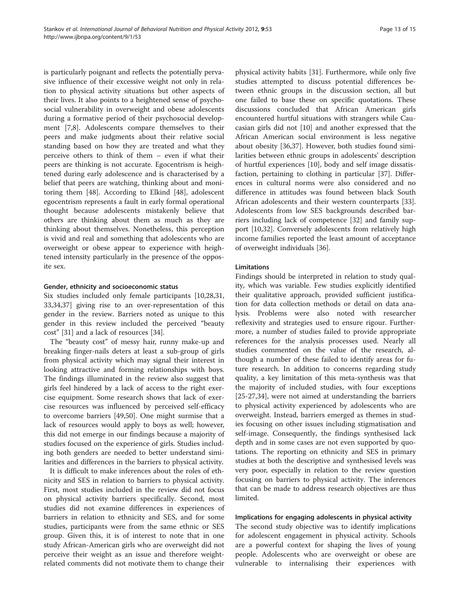is particularly poignant and reflects the potentially pervasive influence of their excessive weight not only in relation to physical activity situations but other aspects of their lives. It also points to a heightened sense of psychosocial vulnerability in overweight and obese adolescents during a formative period of their psychosocial development [[7,8\]](#page-13-0). Adolescents compare themselves to their peers and make judgments about their relative social standing based on how they are treated and what they perceive others to think of them – even if what their peers are thinking is not accurate. Egocentrism is heightened during early adolescence and is characterised by a belief that peers are watching, thinking about and monitoring them [[48](#page-14-0)]. According to Elkind [\[48\]](#page-14-0), adolescent egocentrism represents a fault in early formal operational thought because adolescents mistakenly believe that others are thinking about them as much as they are thinking about themselves. Nonetheless, this perception is vivid and real and something that adolescents who are overweight or obese appear to experience with heightened intensity particularly in the presence of the opposite sex.

## Gender, ethnicity and socioeconomic status

Six studies included only female participants [[10,](#page-13-0)[28](#page-14-0),[31](#page-14-0), [33](#page-14-0),[34](#page-14-0),[37](#page-14-0)] giving rise to an over-representation of this gender in the review. Barriers noted as unique to this gender in this review included the perceived "beauty cost" [[31](#page-14-0)] and a lack of resources [\[34\]](#page-14-0).

The "beauty cost" of messy hair, runny make-up and breaking finger-nails deters at least a sub-group of girls from physical activity which may signal their interest in looking attractive and forming relationships with boys. The findings illuminated in the review also suggest that girls feel hindered by a lack of access to the right exercise equipment. Some research shows that lack of exercise resources was influenced by perceived self-efficacy to overcome barriers [[49](#page-14-0),[50](#page-14-0)]. One might surmise that a lack of resources would apply to boys as well; however, this did not emerge in our findings because a majority of studies focused on the experience of girls. Studies including both genders are needed to better understand similarities and differences in the barriers to physical activity.

It is difficult to make inferences about the roles of ethnicity and SES in relation to barriers to physical activity. First, most studies included in the review did not focus on physical activity barriers specifically. Second, most studies did not examine differences in experiences of barriers in relation to ethnicity and SES, and for some studies, participants were from the same ethnic or SES group. Given this, it is of interest to note that in one study African-American girls who are overweight did not perceive their weight as an issue and therefore weightrelated comments did not motivate them to change their

physical activity habits [\[31](#page-14-0)]. Furthermore, while only five studies attempted to discuss potential differences between ethnic groups in the discussion section, all but one failed to base these on specific quotations. These discussions concluded that African American girls encountered hurtful situations with strangers while Caucasian girls did not [[10\]](#page-13-0) and another expressed that the African American social environment is less negative about obesity [[36,37\]](#page-14-0). However, both studies found similarities between ethnic groups in adolescents' description of hurtful experiences [\[10](#page-13-0)], body and self image dissatisfaction, pertaining to clothing in particular [[37](#page-14-0)]. Differences in cultural norms were also considered and no difference in attitudes was found between black South African adolescents and their western counterparts [[33](#page-14-0)]. Adolescents from low SES backgrounds described barriers including lack of competence [\[32](#page-14-0)] and family support [[10](#page-13-0)[,32](#page-14-0)]. Conversely adolescents from relatively high income families reported the least amount of acceptance of overweight individuals [[36\]](#page-14-0).

# Limitations

Findings should be interpreted in relation to study quality, which was variable. Few studies explicitly identified their qualitative approach, provided sufficient justification for data collection methods or detail on data analysis. Problems were also noted with researcher reflexivity and strategies used to ensure rigour. Furthermore, a number of studies failed to provide appropriate references for the analysis processes used. Nearly all studies commented on the value of the research, although a number of these failed to identify areas for future research. In addition to concerns regarding study quality, a key limitation of this meta-synthesis was that the majority of included studies, with four exceptions [[25-27,34\]](#page-14-0), were not aimed at understanding the barriers to physical activity experienced by adolescents who are overweight. Instead, barriers emerged as themes in studies focusing on other issues including stigmatisation and self-image. Consequently, the findings synthesised lack depth and in some cases are not even supported by quotations. The reporting on ethnicity and SES in primary studies at both the descriptive and synthesised levels was very poor, especially in relation to the review question focusing on barriers to physical activity. The inferences that can be made to address research objectives are thus limited.

#### Implications for engaging adolescents in physical activity

The second study objective was to identify implications for adolescent engagement in physical activity. Schools are a powerful context for shaping the lives of young people. Adolescents who are overweight or obese are vulnerable to internalising their experiences with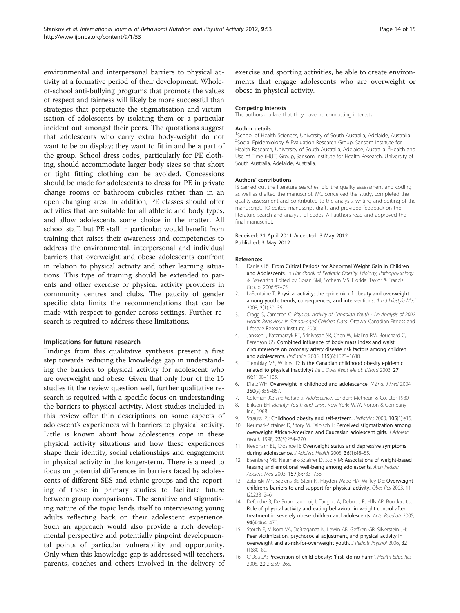<span id="page-13-0"></span>environmental and interpersonal barriers to physical activity at a formative period of their development. Wholeof-school anti-bullying programs that promote the values of respect and fairness will likely be more successful than strategies that perpetuate the stigmatisation and victimisation of adolescents by isolating them or a particular incident out amongst their peers. The quotations suggest that adolescents who carry extra body-weight do not want to be on display; they want to fit in and be a part of the group. School dress codes, particularly for PE clothing, should accommodate larger body sizes so that short or tight fitting clothing can be avoided. Concessions should be made for adolescents to dress for PE in private change rooms or bathroom cubicles rather than in an open changing area. In addition, PE classes should offer activities that are suitable for all athletic and body types, and allow adolescents some choice in the matter. All school staff, but PE staff in particular, would benefit from training that raises their awareness and competencies to address the environmental, interpersonal and individual barriers that overweight and obese adolescents confront in relation to physical activity and other learning situations. This type of training should be extended to parents and other exercise or physical activity providers in community centres and clubs. The paucity of gender specific data limits the recommendations that can be made with respect to gender across settings. Further research is required to address these limitations.

#### Implications for future research

Findings from this qualitative synthesis present a first step towards reducing the knowledge gap in understanding the barriers to physical activity for adolescent who are overweight and obese. Given that only four of the 15 studies fit the review question well, further qualitative research is required with a specific focus on understanding the barriers to physical activity. Most studies included in this review offer thin descriptions on some aspects of adolescent's experiences with barriers to physical activity. Little is known about how adolescents cope in these physical activity situations and how these experiences shape their identity, social relationships and engagement in physical activity in the longer-term. There is a need to focus on potential differences in barriers faced by adolescents of different SES and ethnic groups and the reporting of these in primary studies to facilitate future between group comparisons. The sensitive and stigmatising nature of the topic lends itself to interviewing young adults reflecting back on their adolescent experience. Such an approach would also provide a rich developmental perspective and potentially pinpoint developmental points of particular vulnerability and opportunity. Only when this knowledge gap is addressed will teachers, parents, coaches and others involved in the delivery of exercise and sporting activities, be able to create environments that engage adolescents who are overweight or obese in physical activity.

#### Competing interests

The authors declare that they have no competing interests.

#### Author details

<sup>1</sup>School of Health Sciences, University of South Australia, Adelaide, Australia. <sup>2</sup>Social Epidemiology & Evaluation Research Group, Sansom Institute for Health Research, University of South Australia, Adelaide, Australia. <sup>3</sup>Health and Use of Time (HUT) Group, Sansom Institute for Health Research, University of South Australia, Adelaide, Australia.

#### Authors' contributions

IS carried out the literature searches, did the quality assessment and coding as well as drafted the manuscript. MC conceived the study, completed the quality assessment and contributed to the analysis, writing and editing of the manuscript. TO edited manuscript drafts and provided feedback on the literature search and analysis of codes. All authors read and approved the final manuscript.

#### Received: 21 April 2011 Accepted: 3 May 2012 Published: 3 May 2012

#### References

- 1. Daniels RS: From Critical Periods for Abnormal Weight Gain in Children and Adolescents. In Handbook of Pediatric Obesity: Etiology, Pathophysiology & Prevention. Edited by Goran SMI, Sothern MS. Florida: Taylor & Francis Group; 2006:67–75.
- 2. LaFontaine T: Physical activity: the epidemic of obesity and overweight among youth: trends, consequences, and interventions. Am J Lifestyle Med 2008, 2(1):30–36.
- 3. Cragg S, Cameron C: Physical Activity of Canadian Youth An Analysis of 2002 Health Behaviour in School-aged Children Data. Ottawa: Canadian Fitness and Lifestyle Research Institute; 2006.
- 4. Janssen I, Katzmarzyk PT, Srinivasan SR, Chen W, Malina RM, Bouchard C, Berenson GS: Combined influence of body mass index and waist circumference on coronary artery disease risk factors among children and adolescents. Pediatrics 2005, 115(6):1623–1630.
- 5. Tremblay MS, Willms JD: Is the Canadian childhood obesity epidemic related to physical inactivity? Int J Obes Relat Metab Disord 2003, 27 (9):1100–1105.
- 6. Dietz WH: Overweight in childhood and adolescence. N Engl J Med 2004, 350(9):855–857.
- 7. Coleman JC: The Nature of Adolescence. London: Metheun & Co. Ltd; 1980.
- 8. Erikson EH: Identity: Youth and Crisis. New York: W.W. Norton & Company  $Inc: 1968$
- 9. Strauss RS: Childhood obesity and self-esteem. Pediatrics 2000, 105(1):e15.
- 10. Neumark-Sztainer D, Story M, Faibisch L: Perceived stigmatization among overweight African-American and Caucasian adolescent girls. J Adolesc Health 1998, 23(5):264–270.
- 11. Needham BL, Crosnoe R: Overweight status and depressive symptoms during adolescence. J Adolesc Health 2005, 36(1):48-55.
- 12. Eisenberg ME, Neumark-Sztainer D, Story M: Associations of weight-based teasing and emotional well-being among adolescents. Arch Pediatr Adolesc Med 2003, 157(8):733–738.
- 13. Zabinski MF, Saelens BE, Stein RI, Hayden-Wade HA, Wilfley DE: Overweight children's barriers to and support for physical activity. Obes Res 2003, 11 (2):238–246.
- 14. Deforche B, De Bourdeaudhuij I, Tanghe A, Debode P, Hills AP, Bouckaert J: Role of physical activity and eating behaviour in weight control after treatment in severely obese children and adolescents. Acta Paediatr 2005, 94(4):464–470.
- 15. Storch E, Milsom VA, DeBraganza N, Lewin AB, Geffken GR, Silverstein JH: Peer victimization, psychosocial adjustment, and physical activity in overweight and at-risk-for-overweight youth. J Pediatr Psychol 2006, 32 (1):80–89.
- 16. O'Dea JA: Prevention of child obesity: 'first, do no harm'. Health Educ Res 2005, 20(2):259–265.